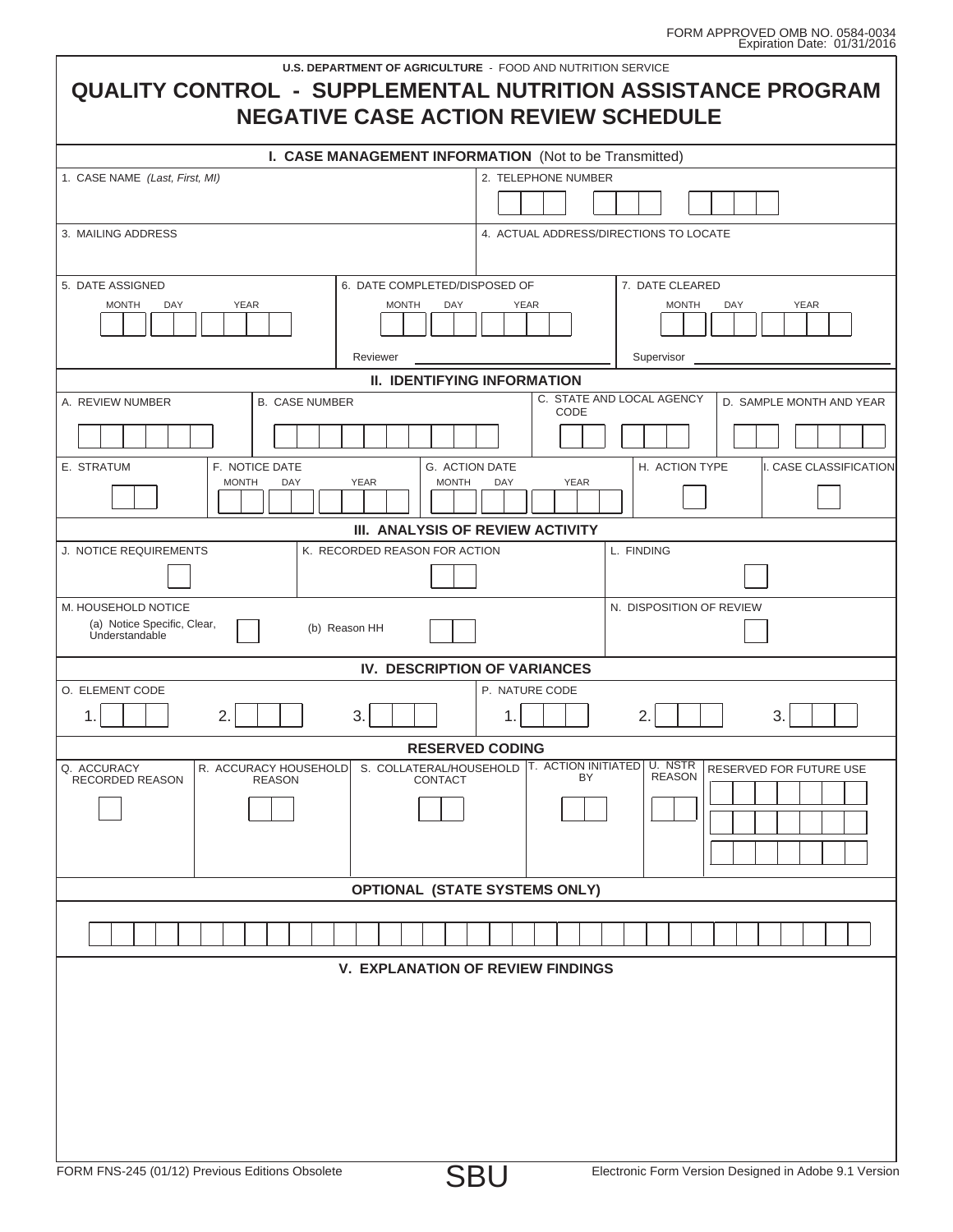Ì.

| <b>U.S. DEPARTMENT OF AGRICULTURE - FOOD AND NUTRITION SERVICE</b><br><b>QUALITY CONTROL - SUPPLEMENTAL NUTRITION ASSISTANCE PROGRAM</b><br><b>NEGATIVE CASE ACTION REVIEW SCHEDULE</b> |                        |
|-----------------------------------------------------------------------------------------------------------------------------------------------------------------------------------------|------------------------|
| I. CASE MANAGEMENT INFORMATION (Not to be Transmitted)                                                                                                                                  |                        |
| 1. CASE NAME (Last, First, MI)<br>2. TELEPHONE NUMBER                                                                                                                                   |                        |
|                                                                                                                                                                                         |                        |
| 3. MAILING ADDRESS<br>4. ACTUAL ADDRESS/DIRECTIONS TO LOCATE                                                                                                                            |                        |
|                                                                                                                                                                                         |                        |
| 7. DATE CLEARED<br>5. DATE ASSIGNED<br>6. DATE COMPLETED/DISPOSED OF                                                                                                                    |                        |
| <b>MONTH</b><br><b>YEAR</b><br>DAY<br><b>YEAR</b><br><b>MONTH</b><br>DAY<br><b>YEAR</b><br><b>MONTH</b><br>DAY                                                                          |                        |
|                                                                                                                                                                                         |                        |
| Reviewer<br>Supervisor<br><b>II. IDENTIFYING INFORMATION</b>                                                                                                                            |                        |
| C. STATE AND LOCAL AGENCY<br>A. REVIEW NUMBER<br><b>B. CASE NUMBER</b><br>D. SAMPLE MONTH AND YEAR                                                                                      |                        |
| CODE                                                                                                                                                                                    |                        |
|                                                                                                                                                                                         |                        |
| E. STRATUM<br>F. NOTICE DATE<br>H. ACTION TYPE<br>G. ACTION DATE<br><b>MONTH</b><br><b>YEAR</b><br><b>MONTH</b><br><b>YEAR</b><br>DAY<br><b>DAY</b>                                     | I. CASE CLASSIFICATION |
|                                                                                                                                                                                         |                        |
| III. ANALYSIS OF REVIEW ACTIVITY                                                                                                                                                        |                        |
| J. NOTICE REQUIREMENTS<br>K. RECORDED REASON FOR ACTION<br>L. FINDING                                                                                                                   |                        |
|                                                                                                                                                                                         |                        |
| M. HOUSEHOLD NOTICE<br>N. DISPOSITION OF REVIEW<br>(a) Notice Specific, Clear,<br>(b) Reason HH<br><b>Understandable</b>                                                                |                        |
| IV. DESCRIPTION OF VARIANCES                                                                                                                                                            |                        |
| O. ELEMENT CODE<br>P. NATURE CODE                                                                                                                                                       |                        |
| 3.<br>2.<br>2.<br>3.<br>1.                                                                                                                                                              |                        |
| <b>RESERVED CODING</b><br>S. COLLATERAL/HOUSEHOLD T. ACTION INITIATED<br>U. NSTR<br>Q. ACCURACY<br>R. ACCURACY HOUSEHOLD<br>RESERVED FOR FUTURE USE                                     |                        |
| <b>REASON</b><br>BY.<br>RECORDED REASON<br><b>REASON</b><br><b>CONTACT</b>                                                                                                              |                        |
|                                                                                                                                                                                         |                        |
|                                                                                                                                                                                         |                        |
|                                                                                                                                                                                         |                        |
| <b>OPTIONAL (STATE SYSTEMS ONLY)</b>                                                                                                                                                    |                        |
|                                                                                                                                                                                         |                        |
| <b>V. EXPLANATION OF REVIEW FINDINGS</b>                                                                                                                                                |                        |
|                                                                                                                                                                                         |                        |
|                                                                                                                                                                                         |                        |
|                                                                                                                                                                                         |                        |
|                                                                                                                                                                                         |                        |
|                                                                                                                                                                                         |                        |
|                                                                                                                                                                                         |                        |
|                                                                                                                                                                                         |                        |